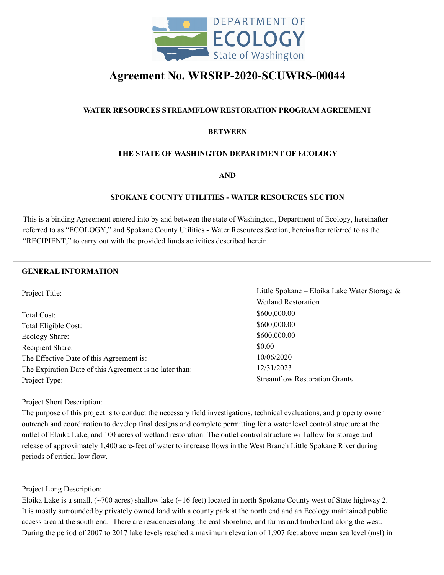

# **Agreement No. WRSRP-2020-SCUWRS-00044**

## **WATER RESOURCES STREAMFLOW RESTORATION PROGRAM AGREEMENT**

## **BETWEEN**

## **THE STATE OF WASHINGTON DEPARTMENT OF ECOLOGY**

**AND**

## **SPOKANE COUNTY UTILITIES - WATER RESOURCES SECTION**

This is a binding Agreement entered into by and between the state of Washington, Department of Ecology, hereinafter referred to as "ECOLOGY," and Spokane County Utilities - Water Resources Section, hereinafter referred to as the "RECIPIENT," to carry out with the provided funds activities described herein.

### **GENERAL INFORMATION**

Project Title:

Total Cost: Total Eligible Cost: Ecology Share: Recipient Share: The Effective Date of this Agreement is: The Expiration Date of this Agreement is no later than: Project Type:

Little Spokane – Eloika Lake Water Storage & Wetland Restoration \$600,000.00 \$600,000.00 \$600,000.00 \$0.00 10/06/2020 12/31/2023 Streamflow Restoration Grants

### Project Short Description:

The purpose of this project is to conduct the necessary field investigations, technical evaluations, and property owner outreach and coordination to develop final designs and complete permitting for a water level control structure at the outlet of Eloika Lake, and 100 acres of wetland restoration. The outlet control structure will allow for storage and release of approximately 1,400 acre-feet of water to increase flows in the West Branch Little Spokane River during periods of critical low flow.

## Project Long Description:

Eloika Lake is a small,  $(\sim 700 \text{ acres})$  shallow lake  $(\sim 16 \text{ feet})$  located in north Spokane County west of State highway 2. It is mostly surrounded by privately owned land with a county park at the north end and an Ecology maintained public access area at the south end. There are residences along the east shoreline, and farms and timberland along the west. During the period of 2007 to 2017 lake levels reached a maximum elevation of 1,907 feet above mean sea level (msl) in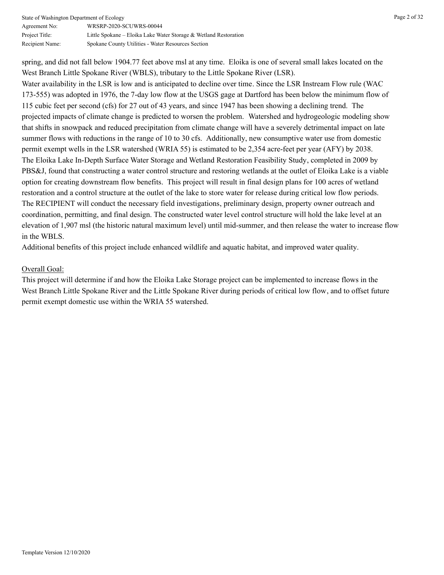| State of Washington Department of Ecology |                                                                  | Page 2 of 32 |
|-------------------------------------------|------------------------------------------------------------------|--------------|
| Agreement No:                             | WRSRP-2020-SCUWRS-00044                                          |              |
| Project Title:                            | Little Spokane – Eloika Lake Water Storage & Wetland Restoration |              |
| Recipient Name:                           | Spokane County Utilities - Water Resources Section               |              |

spring, and did not fall below 1904.77 feet above msl at any time. Eloika is one of several small lakes located on the West Branch Little Spokane River (WBLS), tributary to the Little Spokane River (LSR).

Water availability in the LSR is low and is anticipated to decline over time. Since the LSR Instream Flow rule (WAC 173-555) was adopted in 1976, the 7-day low flow at the USGS gage at Dartford has been below the minimum flow of 115 cubic feet per second (cfs) for 27 out of 43 years, and since 1947 has been showing a declining trend. The projected impacts of climate change is predicted to worsen the problem. Watershed and hydrogeologic modeling show that shifts in snowpack and reduced precipitation from climate change will have a severely detrimental impact on late summer flows with reductions in the range of 10 to 30 cfs. Additionally, new consumptive water use from domestic permit exempt wells in the LSR watershed (WRIA 55) is estimated to be 2,354 acre-feet per year (AFY) by 2038. The Eloika Lake In-Depth Surface Water Storage and Wetland Restoration Feasibility Study, completed in 2009 by PBS&J, found that constructing a water control structure and restoring wetlands at the outlet of Eloika Lake is a viable option for creating downstream flow benefits. This project will result in final design plans for 100 acres of wetland restoration and a control structure at the outlet of the lake to store water for release during critical low flow periods. The RECIPIENT will conduct the necessary field investigations, preliminary design, property owner outreach and coordination, permitting, and final design. The constructed water level control structure will hold the lake level at an elevation of 1,907 msl (the historic natural maximum level) until mid-summer, and then release the water to increase flow in the WBLS.

Additional benefits of this project include enhanced wildlife and aquatic habitat, and improved water quality.

### Overall Goal:

This project will determine if and how the Eloika Lake Storage project can be implemented to increase flows in the West Branch Little Spokane River and the Little Spokane River during periods of critical low flow, and to offset future permit exempt domestic use within the WRIA 55 watershed.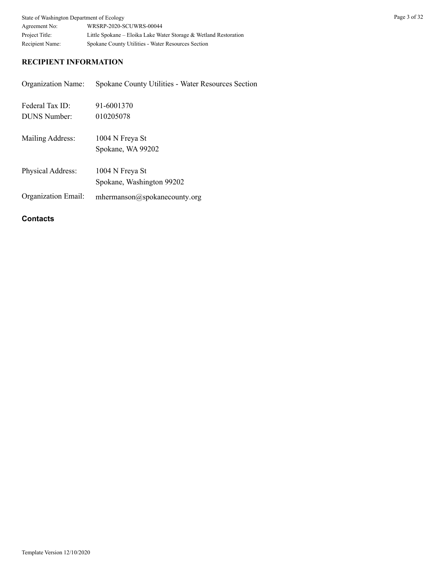State of Washington Department of Ecology Page 3 of 32 Agreement No: Project Title: Recipient Name: WRSRP-2020-SCUWRS-00044 Little Spokane – Eloika Lake Water Storage & Wetland Restoration Spokane County Utilities - Water Resources Section

### **RECIPIENT INFORMATION**

Organization Name: Spokane County Utilities - Water Resources Section

| Federal Tax ID:<br>DUNS Number: | 91-6001370<br>010205078                      |
|---------------------------------|----------------------------------------------|
| Mailing Address:                | 1004 N Freya St<br>Spokane, WA 99202         |
| Physical Address:               | 1004 N Freya St<br>Spokane, Washington 99202 |
| Organization Email:             | mhermanson@spokanecounty.org                 |

### **Contacts**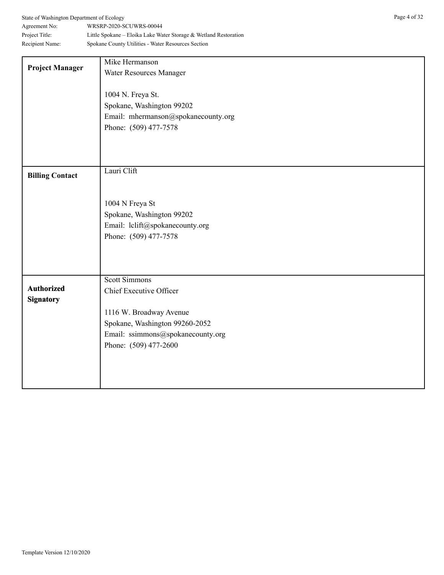Agreement No: Project Title: Recipient Name: WRSRP-2020-SCUWRS-00044 Little Spokane – Eloika Lake Water Storage & Wetland Restoration Spokane County Utilities - Water Resources Section

| <b>Project Manager</b> | Mike Hermanson                      |
|------------------------|-------------------------------------|
|                        | Water Resources Manager             |
|                        |                                     |
|                        | 1004 N. Freya St.                   |
|                        | Spokane, Washington 99202           |
|                        | Email: mhermanson@spokanecounty.org |
|                        | Phone: (509) 477-7578               |
|                        |                                     |
|                        |                                     |
|                        |                                     |
|                        | Lauri Clift                         |
| <b>Billing Contact</b> |                                     |
|                        |                                     |
|                        |                                     |
|                        | 1004 N Freya St                     |
|                        | Spokane, Washington 99202           |
|                        | Email: lclift@spokanecounty.org     |
|                        | Phone: (509) 477-7578               |
|                        |                                     |
|                        |                                     |
|                        |                                     |
|                        | <b>Scott Simmons</b>                |
| <b>Authorized</b>      | Chief Executive Officer             |
| <b>Signatory</b>       |                                     |
|                        | 1116 W. Broadway Avenue             |
|                        | Spokane, Washington 99260-2052      |
|                        | Email: ssimmons@spokanecounty.org   |
|                        | Phone: (509) 477-2600               |
|                        |                                     |
|                        |                                     |
|                        |                                     |
|                        |                                     |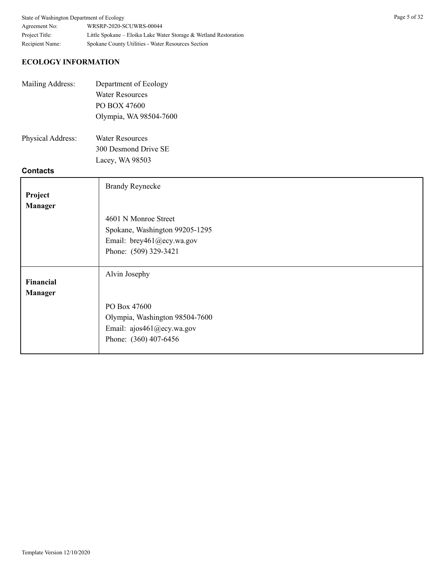State of Washington Department of Ecology Page 5 of 32 Agreement No: Project Title: Recipient Name: WRSRP-2020-SCUWRS-00044 Little Spokane – Eloika Lake Water Storage & Wetland Restoration Spokane County Utilities - Water Resources Section

### **ECOLOGY INFORMATION**

| Mailing Address:  | Department of Ecology  |
|-------------------|------------------------|
|                   | Water Resources        |
|                   | PO BOX 47600           |
|                   | Olympia, WA 98504-7600 |
| Physical Address: | Water Resources        |
|                   | 300 Desmond Drive SE   |

Lacey, WA 98503

#### **Contacts**

| Project<br><b>Manager</b>   | <b>Brandy Reynecke</b>                                                                                                |
|-----------------------------|-----------------------------------------------------------------------------------------------------------------------|
|                             | 4601 N Monroe Street<br>Spokane, Washington 99205-1295<br>Email: brey461@ecy.wa.gov<br>Phone: (509) 329-3421          |
| Financial<br><b>Manager</b> | Alvin Josephy<br>PO Box 47600<br>Olympia, Washington 98504-7600<br>Email: ajos461@ecy.wa.gov<br>Phone: (360) 407-6456 |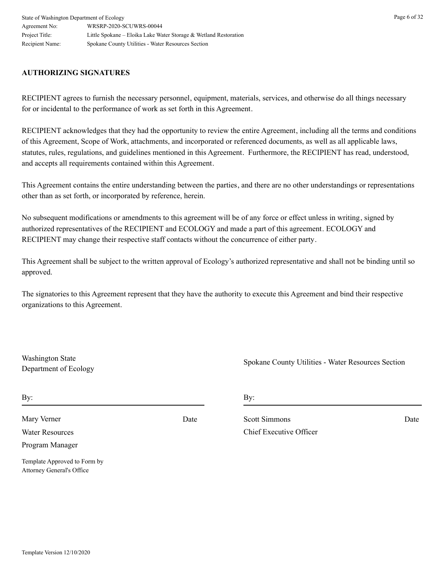### **AUTHORIZING SIGNATURES**

RECIPIENT agrees to furnish the necessary personnel, equipment, materials, services, and otherwise do all things necessary for or incidental to the performance of work as set forth in this Agreement.

RECIPIENT acknowledges that they had the opportunity to review the entire Agreement, including all the terms and conditions of this Agreement, Scope of Work, attachments, and incorporated or referenced documents, as well as all applicable laws, statutes, rules, regulations, and guidelines mentioned in this Agreement. Furthermore, the RECIPIENT has read, understood, and accepts all requirements contained within this Agreement.

This Agreement contains the entire understanding between the parties, and there are no other understandings or representations other than as set forth, or incorporated by reference, herein.

No subsequent modifications or amendments to this agreement will be of any force or effect unless in writing, signed by authorized representatives of the RECIPIENT and ECOLOGY and made a part of this agreement. ECOLOGY and RECIPIENT may change their respective staff contacts without the concurrence of either party.

This Agreement shall be subject to the written approval of Ecology's authorized representative and shall not be binding until so approved.

The signatories to this Agreement represent that they have the authority to execute this Agreement and bind their respective organizations to this Agreement.

| <b>Washington State</b> |
|-------------------------|
| Department of Ecology   |

Spokane County Utilities - Water Resources Section

Mary Verner

Water Resources

Program Manager

Template Approved to Form by Attorney General's Office

By: By:

Date Scott Simmons Date Chief Executive Officer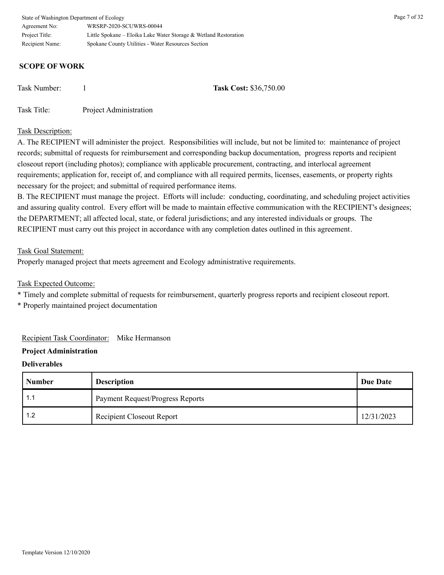State of Washington Department of Ecology Page 7 of 32 Agreement No: Project Title: Recipient Name: WRSRP-2020-SCUWRS-00044 Little Spokane – Eloika Lake Water Storage & Wetland Restoration Spokane County Utilities - Water Resources Section

### **SCOPE OF WORK**

Task Number: 1 **Task Cost:** \$36,750.00

Task Title: Project Administration

### Task Description:

A. The RECIPIENT will administer the project. Responsibilities will include, but not be limited to: maintenance of project records; submittal of requests for reimbursement and corresponding backup documentation, progress reports and recipient closeout report (including photos); compliance with applicable procurement, contracting, and interlocal agreement requirements; application for, receipt of, and compliance with all required permits, licenses, easements, or property rights necessary for the project; and submittal of required performance items.

B. The RECIPIENT must manage the project. Efforts will include: conducting, coordinating, and scheduling project activities and assuring quality control. Every effort will be made to maintain effective communication with the RECIPIENT's designees; the DEPARTMENT; all affected local, state, or federal jurisdictions; and any interested individuals or groups. The RECIPIENT must carry out this project in accordance with any completion dates outlined in this agreement.

### Task Goal Statement:

Properly managed project that meets agreement and Ecology administrative requirements.

Task Expected Outcome:

\* Timely and complete submittal of requests for reimbursement, quarterly progress reports and recipient closeout report.

\* Properly maintained project documentation

### Recipient Task Coordinator: Mike Hermanson

### **Project Administration**

| <b>Number</b> | <b>Description</b>               | Due Date   |
|---------------|----------------------------------|------------|
|               | Payment Request/Progress Reports |            |
| 12            | <b>Recipient Closeout Report</b> | 12/31/2023 |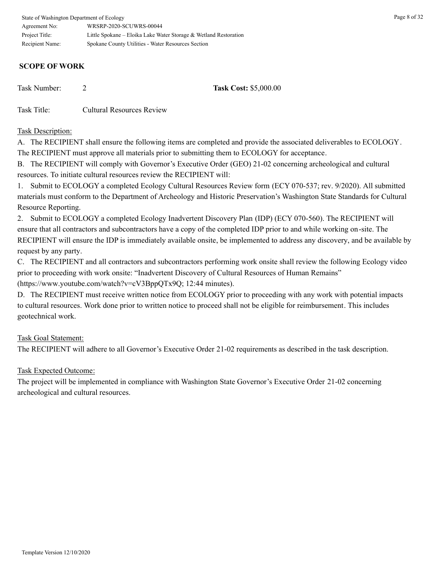State of Washington Department of Ecology Page 8 of 32 Agreement No: Project Title: Recipient Name: WRSRP-2020-SCUWRS-00044 Little Spokane – Eloika Lake Water Storage & Wetland Restoration Spokane County Utilities - Water Resources Section

### **SCOPE OF WORK**

Task Number: 2 **Task Cost:** \$5,000.00

Task Title: Cultural Resources Review

### Task Description:

A. The RECIPIENT shall ensure the following items are completed and provide the associated deliverables to ECOLOGY. The RECIPIENT must approve all materials prior to submitting them to ECOLOGY for acceptance.

B. The RECIPIENT will comply with Governor's Executive Order (GEO) 21-02 concerning archeological and cultural resources. To initiate cultural resources review the RECIPIENT will:

1. Submit to ECOLOGY a completed Ecology Cultural Resources Review form (ECY 070-537; rev. 9/2020). All submitted materials must conform to the Department of Archeology and Historic Preservation's Washington State Standards for Cultural Resource Reporting.

2. Submit to ECOLOGY a completed Ecology Inadvertent Discovery Plan (IDP) (ECY 070-560). The RECIPIENT will ensure that all contractors and subcontractors have a copy of the completed IDP prior to and while working on-site. The RECIPIENT will ensure the IDP is immediately available onsite, be implemented to address any discovery, and be available by request by any party.

C. The RECIPIENT and all contractors and subcontractors performing work onsite shall review the following Ecology video prior to proceeding with work onsite: "Inadvertent Discovery of Cultural Resources of Human Remains" (https://www.youtube.com/watch?v=cV3BppQTx9Q; 12:44 minutes).

D. The RECIPIENT must receive written notice from ECOLOGY prior to proceeding with any work with potential impacts to cultural resources. Work done prior to written notice to proceed shall not be eligible for reimbursement. This includes geotechnical work.

### Task Goal Statement:

The RECIPIENT will adhere to all Governor's Executive Order 21-02 requirements as described in the task description.

### Task Expected Outcome:

The project will be implemented in compliance with Washington State Governor's Executive Order 21-02 concerning archeological and cultural resources.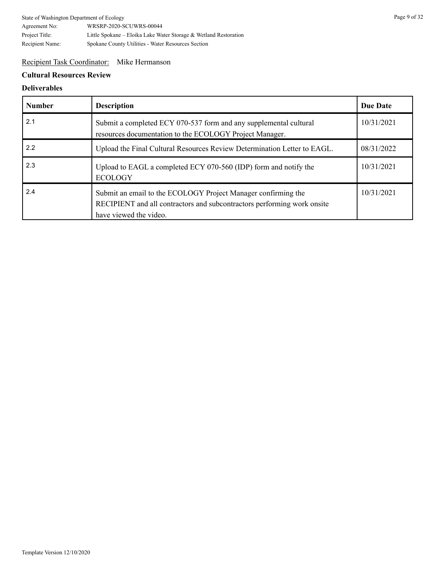### Recipient Task Coordinator: Mike Hermanson

### **Cultural Resources Review**

| <b>Number</b> | <b>Description</b>                                                                                                                                                 | <b>Due Date</b> |
|---------------|--------------------------------------------------------------------------------------------------------------------------------------------------------------------|-----------------|
| 2.1           | Submit a completed ECY 070-537 form and any supplemental cultural<br>resources documentation to the ECOLOGY Project Manager.                                       | 10/31/2021      |
| $2.2^{\circ}$ | Upload the Final Cultural Resources Review Determination Letter to EAGL.                                                                                           | 08/31/2022      |
| 2.3           | Upload to EAGL a completed ECY 070-560 (IDP) form and notify the<br><b>ECOLOGY</b>                                                                                 | 10/31/2021      |
| 2.4           | Submit an email to the ECOLOGY Project Manager confirming the<br>RECIPIENT and all contractors and subcontractors performing work onsite<br>have viewed the video. | 10/31/2021      |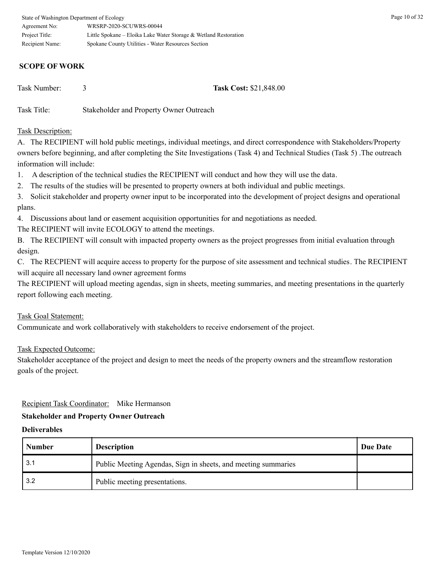State of Washington Department of Ecology Page 10 of 32 Agreement No: Project Title: Recipient Name: WRSRP-2020-SCUWRS-00044 Little Spokane – Eloika Lake Water Storage & Wetland Restoration Spokane County Utilities - Water Resources Section

### **SCOPE OF WORK**

Task Number: 3 **Task Cost:** \$21,848.00

Task Title: Stakeholder and Property Owner Outreach

### Task Description:

A. The RECIPIENT will hold public meetings, individual meetings, and direct correspondence with Stakeholders/Property owners before beginning, and after completing the Site Investigations (Task 4) and Technical Studies (Task 5) .The outreach information will include:

- 1. A description of the technical studies the RECIPIENT will conduct and how they will use the data.
- 2. The results of the studies will be presented to property owners at both individual and public meetings.

3. Solicit stakeholder and property owner input to be incorporated into the development of project designs and operational plans.

4. Discussions about land or easement acquisition opportunities for and negotiations as needed.

The RECIPIENT will invite ECOLOGY to attend the meetings.

B. The RECIPIENT will consult with impacted property owners as the project progresses from initial evaluation through design.

C. The RECPIENT will acquire access to property for the purpose of site assessment and technical studies. The RECIPIENT will acquire all necessary land owner agreement forms

The RECIPIENT will upload meeting agendas, sign in sheets, meeting summaries, and meeting presentations in the quarterly report following each meeting.

### Task Goal Statement:

Communicate and work collaboratively with stakeholders to receive endorsement of the project.

### Task Expected Outcome:

Stakeholder acceptance of the project and design to meet the needs of the property owners and the streamflow restoration goals of the project.

### Recipient Task Coordinator: Mike Hermanson

### **Stakeholder and Property Owner Outreach**

| <b>Number</b> | <b>Description</b>                                            | Due Date |
|---------------|---------------------------------------------------------------|----------|
| 3.1           | Public Meeting Agendas, Sign in sheets, and meeting summaries |          |
| 3.2           | Public meeting presentations.                                 |          |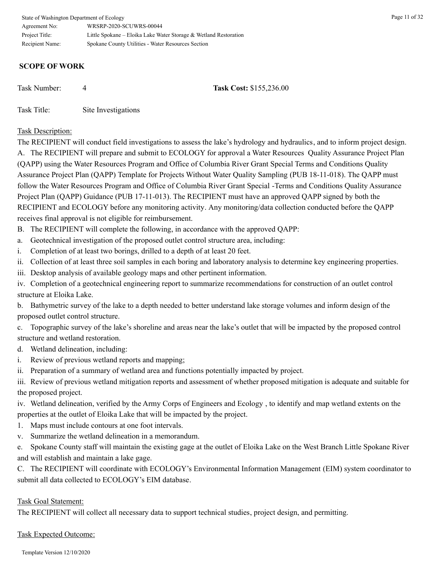State of Washington Department of Ecology Page 11 of 32 Agreement No: Project Title: Recipient Name: WRSRP-2020-SCUWRS-00044 Little Spokane – Eloika Lake Water Storage & Wetland Restoration Spokane County Utilities - Water Resources Section

### **SCOPE OF WORK**

Task Number: 4 **Task Cost:** \$155,236.00

Task Title: Site Investigations

### Task Description:

The RECIPIENT will conduct field investigations to assess the lake's hydrology and hydraulics, and to inform project design. A. The RECIPIENT will prepare and submit to ECOLOGY for approval a Water Resources Quality Assurance Project Plan (QAPP) using the Water Resources Program and Office of Columbia River Grant Special Terms and Conditions Quality Assurance Project Plan (QAPP) Template for Projects Without Water Quality Sampling (PUB 18-11-018). The QAPP must follow the Water Resources Program and Office of Columbia River Grant Special -Terms and Conditions Quality Assurance Project Plan (QAPP) Guidance (PUB 17-11-013). The RECIPIENT must have an approved QAPP signed by both the RECIPIENT and ECOLOGY before any monitoring activity. Any monitoring/data collection conducted before the QAPP receives final approval is not eligible for reimbursement.

B. The RECIPIENT will complete the following, in accordance with the approved QAPP:

a. Geotechnical investigation of the proposed outlet control structure area, including:

i. Completion of at least two borings, drilled to a depth of at least 20 feet.

ii. Collection of at least three soil samples in each boring and laboratory analysis to determine key engineering properties.

iii. Desktop analysis of available geology maps and other pertinent information.

iv. Completion of a geotechnical engineering report to summarize recommendations for construction of an outlet control structure at Eloika Lake.

b. Bathymetric survey of the lake to a depth needed to better understand lake storage volumes and inform design of the proposed outlet control structure.

c. Topographic survey of the lake's shoreline and areas near the lake's outlet that will be impacted by the proposed control structure and wetland restoration.

- d. Wetland delineation, including:
- i. Review of previous wetland reports and mapping;

ii. Preparation of a summary of wetland area and functions potentially impacted by project.

iii. Review of previous wetland mitigation reports and assessment of whether proposed mitigation is adequate and suitable for the proposed project.

iv. Wetland delineation, verified by the Army Corps of Engineers and Ecology , to identify and map wetland extents on the properties at the outlet of Eloika Lake that will be impacted by the project.

- 1. Maps must include contours at one foot intervals.
- v. Summarize the wetland delineation in a memorandum.

e. Spokane County staff will maintain the existing gage at the outlet of Eloika Lake on the West Branch Little Spokane River and will establish and maintain a lake gage.

C. The RECIPIENT will coordinate with ECOLOGY's Environmental Information Management (EIM) system coordinator to submit all data collected to ECOLOGY's EIM database.

### Task Goal Statement:

The RECIPIENT will collect all necessary data to support technical studies, project design, and permitting.

### Task Expected Outcome: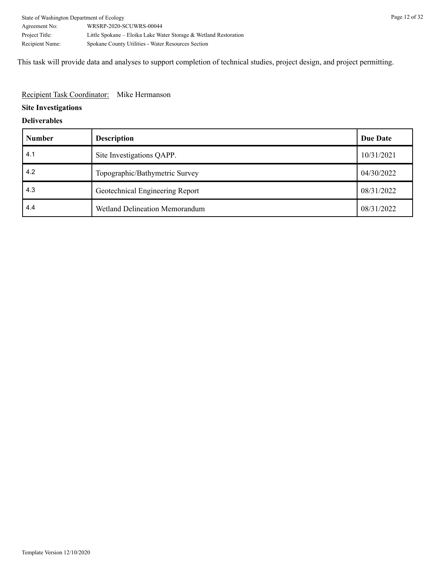| State of Washington Department of Ecology |                                                                  | Page 12 of 32 |
|-------------------------------------------|------------------------------------------------------------------|---------------|
| Agreement No:                             | WRSRP-2020-SCUWRS-00044                                          |               |
| Project Title:                            | Little Spokane – Eloika Lake Water Storage & Wetland Restoration |               |
| Recipient Name:                           | Spokane County Utilities - Water Resources Section               |               |

This task will provide data and analyses to support completion of technical studies, project design, and project permitting.

Recipient Task Coordinator: Mike Hermanson

## **Site Investigations**

| <b>Number</b> | <b>Description</b>              | <b>Due Date</b> |
|---------------|---------------------------------|-----------------|
| 4.1           | Site Investigations QAPP.       | 10/31/2021      |
| 4.2           | Topographic/Bathymetric Survey  | 04/30/2022      |
| 4.3           | Geotechnical Engineering Report | 08/31/2022      |
| 4.4           | Wetland Delineation Memorandum  | 08/31/2022      |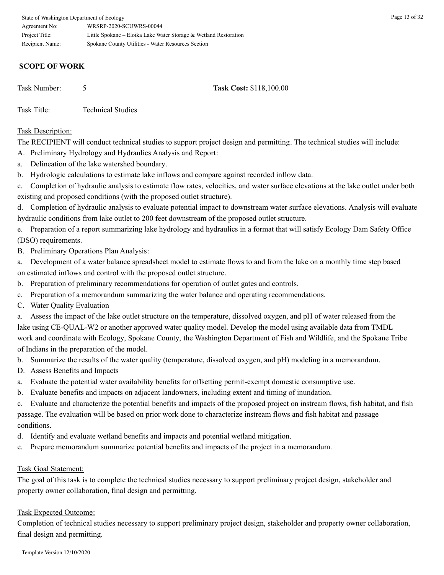State of Washington Department of Ecology Page 13 of 32 Agreement No: Project Title: Recipient Name: WRSRP-2020-SCUWRS-00044 Little Spokane – Eloika Lake Water Storage & Wetland Restoration Spokane County Utilities - Water Resources Section

### **SCOPE OF WORK**

Task Number: 5 **Task Cost:** \$118,100.00

Task Title: Technical Studies

### Task Description:

The RECIPIENT will conduct technical studies to support project design and permitting. The technical studies will include:

- A. Preliminary Hydrology and Hydraulics Analysis and Report:
- a. Delineation of the lake watershed boundary.
- b. Hydrologic calculations to estimate lake inflows and compare against recorded inflow data.
- c. Completion of hydraulic analysis to estimate flow rates, velocities, and water surface elevations at the lake outlet under both existing and proposed conditions (with the proposed outlet structure).
- d. Completion of hydraulic analysis to evaluate potential impact to downstream water surface elevations. Analysis will evaluate hydraulic conditions from lake outlet to 200 feet downstream of the proposed outlet structure.
- e. Preparation of a report summarizing lake hydrology and hydraulics in a format that will satisfy Ecology Dam Safety Office (DSO) requirements.
- B. Preliminary Operations Plan Analysis:
- a. Development of a water balance spreadsheet model to estimate flows to and from the lake on a monthly time step based on estimated inflows and control with the proposed outlet structure.
- b. Preparation of preliminary recommendations for operation of outlet gates and controls.
- c. Preparation of a memorandum summarizing the water balance and operating recommendations.
- C. Water Quality Evaluation
- a. Assess the impact of the lake outlet structure on the temperature, dissolved oxygen, and pH of water released from the lake using CE-QUAL-W2 or another approved water quality model. Develop the model using available data from TMDL work and coordinate with Ecology, Spokane County, the Washington Department of Fish and Wildlife, and the Spokane Tribe of Indians in the preparation of the model.
- b. Summarize the results of the water quality (temperature, dissolved oxygen, and pH) modeling in a memorandum.
- D. Assess Benefits and Impacts
- a. Evaluate the potential water availability benefits for offsetting permit-exempt domestic consumptive use.
- b. Evaluate benefits and impacts on adjacent landowners, including extent and timing of inundation.
- c. Evaluate and characterize the potential benefits and impacts of the proposed project on instream flows, fish habitat, and fish passage. The evaluation will be based on prior work done to characterize instream flows and fish habitat and passage conditions.
- d. Identify and evaluate wetland benefits and impacts and potential wetland mitigation.
- e. Prepare memorandum summarize potential benefits and impacts of the project in a memorandum.

### Task Goal Statement:

The goal of this task is to complete the technical studies necessary to support preliminary project design, stakeholder and property owner collaboration, final design and permitting.

### Task Expected Outcome:

Completion of technical studies necessary to support preliminary project design, stakeholder and property owner collaboration, final design and permitting.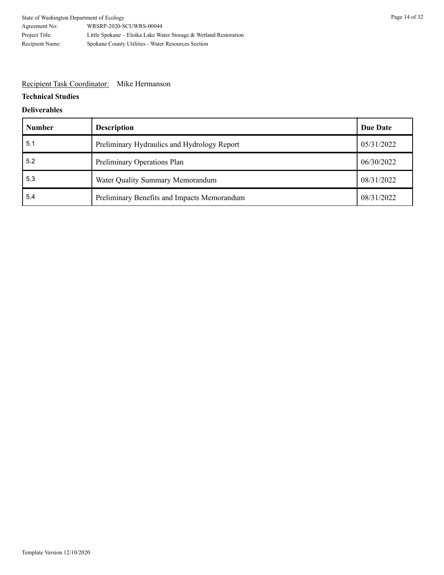## Recipient Task Coordinator: Mike Hermanson

### **Technical Studies**

| <b>Number</b> | <b>Description</b>                          | Due Date   |
|---------------|---------------------------------------------|------------|
| 5.1           | Preliminary Hydraulics and Hydrology Report | 05/31/2022 |
| 5.2           | Preliminary Operations Plan                 | 06/30/2022 |
| 5.3           | Water Quality Summary Memorandum            | 08/31/2022 |
| 5.4           | Preliminary Benefits and Impacts Memorandum | 08/31/2022 |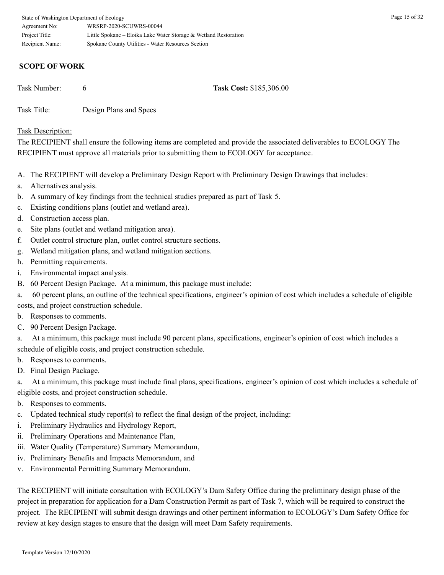State of Washington Department of Ecology Page 15 of 32 Agreement No: Project Title: Recipient Name: WRSRP-2020-SCUWRS-00044 Little Spokane – Eloika Lake Water Storage & Wetland Restoration Spokane County Utilities - Water Resources Section

### **SCOPE OF WORK**

Task Number: 6 **Task Cost:** \$185,306.00

Task Title: Design Plans and Specs

### Task Description:

The RECIPIENT shall ensure the following items are completed and provide the associated deliverables to ECOLOGY The RECIPIENT must approve all materials prior to submitting them to ECOLOGY for acceptance.

- A. The RECIPIENT will develop a Preliminary Design Report with Preliminary Design Drawings that includes:
- a. Alternatives analysis.
- b. A summary of key findings from the technical studies prepared as part of Task 5.
- c. Existing conditions plans (outlet and wetland area).
- d. Construction access plan.
- e. Site plans (outlet and wetland mitigation area).
- f. Outlet control structure plan, outlet control structure sections.
- g. Wetland mitigation plans, and wetland mitigation sections.
- h. Permitting requirements.
- i. Environmental impact analysis.
- B. 60 Percent Design Package. At a minimum, this package must include:
- a. 60 percent plans, an outline of the technical specifications, engineer's opinion of cost which includes a schedule of eligible costs, and project construction schedule.
- b. Responses to comments.
- C. 90 Percent Design Package.
- a. At a minimum, this package must include 90 percent plans, specifications, engineer's opinion of cost which includes a schedule of eligible costs, and project construction schedule.
- b. Responses to comments.
- D. Final Design Package.

a. At a minimum, this package must include final plans, specifications, engineer's opinion of cost which includes a schedule of eligible costs, and project construction schedule.

- b. Responses to comments.
- c. Updated technical study report(s) to reflect the final design of the project, including:
- i. Preliminary Hydraulics and Hydrology Report,
- ii. Preliminary Operations and Maintenance Plan,
- iii. Water Quality (Temperature) Summary Memorandum,
- iv. Preliminary Benefits and Impacts Memorandum, and
- v. Environmental Permitting Summary Memorandum.

The RECIPIENT will initiate consultation with ECOLOGY's Dam Safety Office during the preliminary design phase of the project in preparation for application for a Dam Construction Permit as part of Task 7, which will be required to construct the project. The RECIPIENT will submit design drawings and other pertinent information to ECOLOGY's Dam Safety Office for review at key design stages to ensure that the design will meet Dam Safety requirements.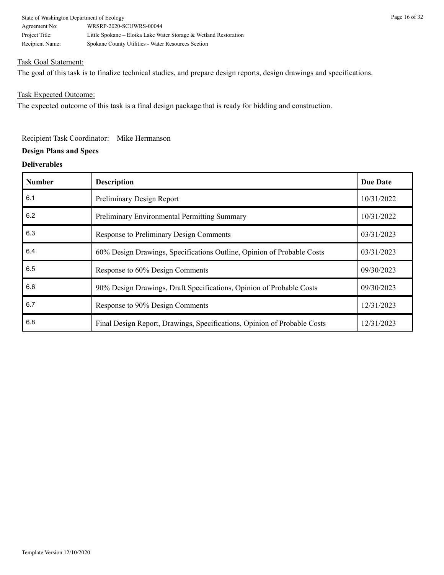State of Washington Department of Ecology Page 16 of 32 Agreement No: Project Title: Recipient Name: WRSRP-2020-SCUWRS-00044 Little Spokane – Eloika Lake Water Storage & Wetland Restoration Spokane County Utilities - Water Resources Section

### Task Goal Statement:

The goal of this task is to finalize technical studies, and prepare design reports, design drawings and specifications.

Task Expected Outcome:

The expected outcome of this task is a final design package that is ready for bidding and construction.

### Recipient Task Coordinator: Mike Hermanson

### **Design Plans and Specs**

| <b>Number</b> | <b>Description</b>                                                       | <b>Due Date</b> |
|---------------|--------------------------------------------------------------------------|-----------------|
| 6.1           | Preliminary Design Report                                                | 10/31/2022      |
| 6.2           | Preliminary Environmental Permitting Summary                             | 10/31/2022      |
| 6.3           | Response to Preliminary Design Comments                                  | 03/31/2023      |
| 6.4           | 60% Design Drawings, Specifications Outline, Opinion of Probable Costs   | 03/31/2023      |
| 6.5           | Response to 60% Design Comments                                          | 09/30/2023      |
| 6.6           | 90% Design Drawings, Draft Specifications, Opinion of Probable Costs     | 09/30/2023      |
| 6.7           | Response to 90% Design Comments                                          | 12/31/2023      |
| 6.8           | Final Design Report, Drawings, Specifications, Opinion of Probable Costs | 12/31/2023      |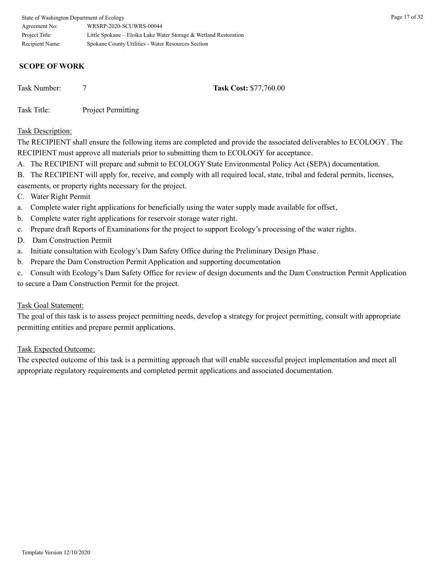State of Washington Department of Ecology Page 17 of 32 Agreement No: Project Title: Recipient Name: WRSRP-2020-SCUWRS-00044 Little Spokane – Eloika Lake Water Storage & Wetland Restoration Spokane County Utilities - Water Resources Section

### **SCOPE OF WORK**

Task Number: 7 **Task Cost:** \$77,760.00

Task Title: Project Permitting

### Task Description:

The RECIPIENT shall ensure the following items are completed and provide the associated deliverables to ECOLOGY. The RECIPIENT must approve all materials prior to submitting them to ECOLOGY for acceptance.

- A. The RECIPIENT will prepare and submit to ECOLOGY State Environmental Policy Act (SEPA) documentation.
- B. The RECIPIENT will apply for, receive, and comply with all required local, state, tribal and federal permits, licenses, easements, or property rights necessary for the project.
- C. Water Right Permit
- a. Complete water right applications for beneficially using the water supply made available for offset,
- b. Complete water right applications for reservoir storage water right.
- c. Prepare draft Reports of Examinations for the project to support Ecology's processing of the water rights.
- D. Dam Construction Permit
- a. Initiate consultation with Ecology's Dam Safety Office during the Preliminary Design Phase.
- b. Prepare the Dam Construction Permit Application and supporting documentation

c. Consult with Ecology's Dam Safety Office for review of design documents and the Dam Construction Permit Application to secure a Dam Construction Permit for the project.

### Task Goal Statement:

The goal of this task is to assess project permitting needs, develop a strategy for project permitting, consult with appropriate permitting entities and prepare permit applications.

### Task Expected Outcome:

The expected outcome of this task is a permitting approach that will enable successful project implementation and meet all appropriate regulatory requirements and completed permit applications and associated documentation.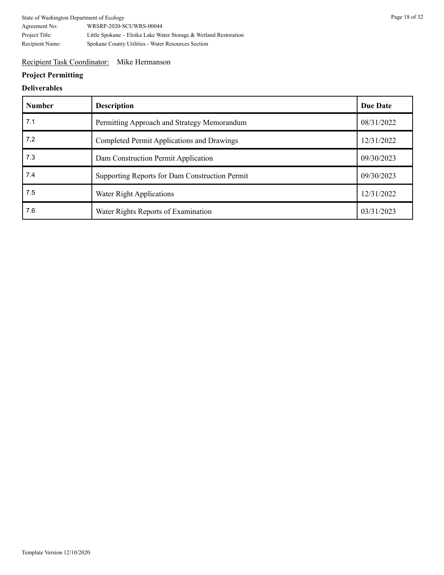| State of Washington Department of Ecology |                                                                  | Page 18 of 32 |
|-------------------------------------------|------------------------------------------------------------------|---------------|
| Agreement No:                             | WRSRP-2020-SCUWRS-00044                                          |               |
| Project Title:                            | Little Spokane – Eloika Lake Water Storage & Wetland Restoration |               |
| Recipient Name:                           | Spokane County Utilities - Water Resources Section               |               |

## Recipient Task Coordinator: Mike Hermanson

## **Project Permitting**

| <b>Number</b> | <b>Description</b>                             | Due Date   |
|---------------|------------------------------------------------|------------|
| 7.1           | Permitting Approach and Strategy Memorandum    | 08/31/2022 |
| 7.2           | Completed Permit Applications and Drawings     | 12/31/2022 |
| 7.3           | Dam Construction Permit Application            | 09/30/2023 |
| 7.4           | Supporting Reports for Dam Construction Permit | 09/30/2023 |
| 7.5           | Water Right Applications                       | 12/31/2022 |
| 7.6           | Water Rights Reports of Examination            | 03/31/2023 |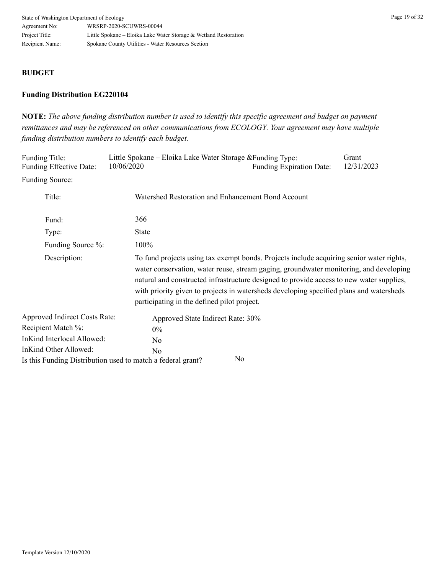### **BUDGET**

### **Funding Distribution EG220104**

**NOTE:** *The above funding distribution number is used to identify this specific agreement and budget on payment remittances and may be referenced on other communications from ECOLOGY. Your agreement may have multiple funding distribution numbers to identify each budget.*

| Funding Title:<br>Funding Effective Date: | 10/06/2020                                                  | Little Spokane – Eloika Lake Water Storage & Funding Type:<br><b>Funding Expiration Date:</b>                                                                                                                                                                                                                                                                             | Grant<br>12/31/2023 |
|-------------------------------------------|-------------------------------------------------------------|---------------------------------------------------------------------------------------------------------------------------------------------------------------------------------------------------------------------------------------------------------------------------------------------------------------------------------------------------------------------------|---------------------|
| <b>Funding Source:</b>                    |                                                             |                                                                                                                                                                                                                                                                                                                                                                           |                     |
| Title:                                    |                                                             | Watershed Restoration and Enhancement Bond Account                                                                                                                                                                                                                                                                                                                        |                     |
| Fund:                                     | 366                                                         |                                                                                                                                                                                                                                                                                                                                                                           |                     |
| Type:                                     | <b>State</b>                                                |                                                                                                                                                                                                                                                                                                                                                                           |                     |
| Funding Source %:                         | 100%                                                        |                                                                                                                                                                                                                                                                                                                                                                           |                     |
| Description:                              | participating in the defined pilot project.                 | To fund projects using tax exempt bonds. Projects include acquiring senior water rights,<br>water conservation, water reuse, stream gaging, groundwater monitoring, and developing<br>natural and constructed infrastructure designed to provide access to new water supplies,<br>with priority given to projects in watersheds developing specified plans and watersheds |                     |
| Approved Indirect Costs Rate:             |                                                             | Approved State Indirect Rate: 30%                                                                                                                                                                                                                                                                                                                                         |                     |
| Recipient Match %:                        | $0\%$                                                       |                                                                                                                                                                                                                                                                                                                                                                           |                     |
| InKind Interlocal Allowed:                | No                                                          |                                                                                                                                                                                                                                                                                                                                                                           |                     |
| InKind Other Allowed:                     | N <sub>o</sub>                                              |                                                                                                                                                                                                                                                                                                                                                                           |                     |
|                                           | Is this Funding Distribution used to match a federal grant? | No                                                                                                                                                                                                                                                                                                                                                                        |                     |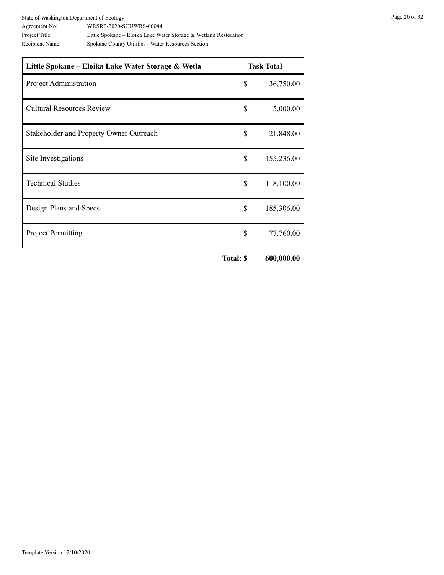| Little Spokane – Eloika Lake Water Storage & Wetla | <b>Task Total</b> |  |
|----------------------------------------------------|-------------------|--|
| Project Administration                             | 36,750.00<br>S    |  |
| <b>Cultural Resources Review</b>                   | 5,000.00<br>S     |  |
| Stakeholder and Property Owner Outreach            | 21,848.00<br>\$   |  |
| Site Investigations                                | 155,236.00<br>S   |  |
| <b>Technical Studies</b>                           | 118,100.00<br>S   |  |
| Design Plans and Specs                             | 185,306.00<br>S   |  |
| <b>Project Permitting</b>                          | 77,760.00<br>S    |  |

**Total: \$ 600,000.00**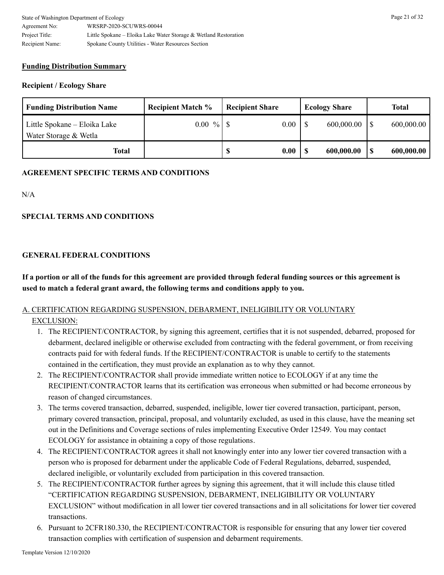State of Washington Department of Ecology Page 21 of 32 Agreement No: Project Title: Recipient Name: WRSRP-2020-SCUWRS-00044 Little Spokane – Eloika Lake Water Storage & Wetland Restoration Spokane County Utilities - Water Resources Section

### **Funding Distribution Summary**

### **Recipient / Ecology Share**

| <b>Funding Distribution Name</b>                      | <b>Recipient Match %</b> | <b>Recipient Share</b> | <b>Ecology Share</b> | Total      |
|-------------------------------------------------------|--------------------------|------------------------|----------------------|------------|
| Little Spokane – Eloika Lake<br>Water Storage & Wetla | $0.00 \%$   \$           | $0.00^{\circ}$         | 600,000.00           | 600,000.00 |
| Total                                                 |                          | 0.00                   | 600,000.00           | 600,000.00 |

### **AGREEMENT SPECIFIC TERMS AND CONDITIONS**

N/A

### **SPECIAL TERMS AND CONDITIONS**

### **GENERAL FEDERAL CONDITIONS**

**If a portion or all of the funds for this agreement are provided through federal funding sources or this agreement is used to match a federal grant award, the following terms and conditions apply to you.**

## A. CERTIFICATION REGARDING SUSPENSION, DEBARMENT, INELIGIBILITY OR VOLUNTARY EXCLUSION:

- 1. The RECIPIENT/CONTRACTOR, by signing this agreement, certifies that it is not suspended, debarred, proposed for debarment, declared ineligible or otherwise excluded from contracting with the federal government, or from receiving contracts paid for with federal funds. If the RECIPIENT/CONTRACTOR is unable to certify to the statements contained in the certification, they must provide an explanation as to why they cannot.
- 2. The RECIPIENT/CONTRACTOR shall provide immediate written notice to ECOLOGY if at any time the RECIPIENT/CONTRACTOR learns that its certification was erroneous when submitted or had become erroneous by reason of changed circumstances.
- 3. The terms covered transaction, debarred, suspended, ineligible, lower tier covered transaction, participant, person, primary covered transaction, principal, proposal, and voluntarily excluded, as used in this clause, have the meaning set out in the Definitions and Coverage sections of rules implementing Executive Order 12549. You may contact ECOLOGY for assistance in obtaining a copy of those regulations.
- 4. The RECIPIENT/CONTRACTOR agrees it shall not knowingly enter into any lower tier covered transaction with a person who is proposed for debarment under the applicable Code of Federal Regulations, debarred, suspended, declared ineligible, or voluntarily excluded from participation in this covered transaction.
- 5. The RECIPIENT/CONTRACTOR further agrees by signing this agreement, that it will include this clause titled "CERTIFICATION REGARDING SUSPENSION, DEBARMENT, INELIGIBILITY OR VOLUNTARY EXCLUSION" without modification in all lower tier covered transactions and in all solicitations for lower tier covered transactions.
- 6. Pursuant to 2CFR180.330, the RECIPIENT/CONTRACTOR is responsible for ensuring that any lower tier covered transaction complies with certification of suspension and debarment requirements.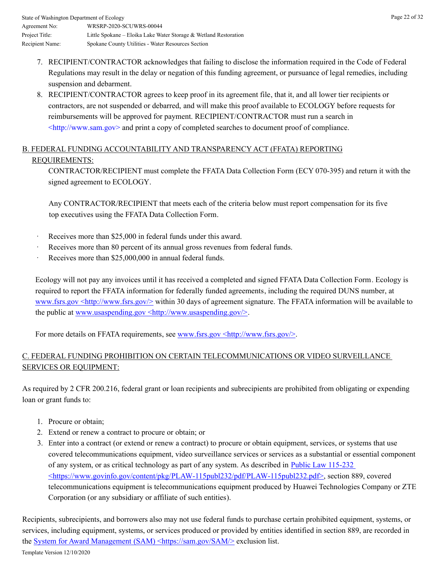- 7. RECIPIENT/CONTRACTOR acknowledges that failing to disclose the information required in the Code of Federal Regulations may result in the delay or negation of this funding agreement, or pursuance of legal remedies, including suspension and debarment.
- 8. RECIPIENT/CONTRACTOR agrees to keep proof in its agreement file, that it, and all lower tier recipients or contractors, are not suspended or debarred, and will make this proof available to ECOLOGY before requests for reimbursements will be approved for payment. RECIPIENT/CONTRACTOR must run a search in  $\leq$ http://www.sam.gov> and print a copy of completed searches to document proof of compliance.

## B. FEDERAL FUNDING ACCOUNTABILITY AND TRANSPARENCY ACT (FFATA) REPORTING REQUIREMENTS:

CONTRACTOR/RECIPIENT must complete the FFATA Data Collection Form (ECY 070-395) and return it with the signed agreement to ECOLOGY.

 Any CONTRACTOR/RECIPIENT that meets each of the criteria below must report compensation for its five top executives using the FFATA Data Collection Form.

- Receives more than \$25,000 in federal funds under this award.
- · Receives more than 80 percent of its annual gross revenues from federal funds.
- Receives more than \$25,000,000 in annual federal funds.

Ecology will not pay any invoices until it has received a completed and signed FFATA Data Collection Form. Ecology is required to report the FFATA information for federally funded agreements, including the required DUNS number, at www.fsrs.gov  $\leq$ http://www.fsrs.gov/ $\geq$  within 30 days of agreement signature. The FFATA information will be available to the public at www.usaspending.gov <http://www.usaspending.gov/>.

For more details on FFATA requirements, see www.fsrs.gov <http://www.fsrs.gov/>.

## C. FEDERAL FUNDING PROHIBITION ON CERTAIN TELECOMMUNICATIONS OR VIDEO SURVEILLANCE SERVICES OR EQUIPMENT:

As required by 2 CFR 200.216, federal grant or loan recipients and subrecipients are prohibited from obligating or expending loan or grant funds to:

- 1. Procure or obtain;
- 2. Extend or renew a contract to procure or obtain; or
- 3. Enter into a contract (or extend or renew a contract) to procure or obtain equipment, services, or systems that use covered telecommunications equipment, video surveillance services or services as a substantial or essential component of any system, or as critical technology as part of any system. As described in Public Law 115-232 <https://www.govinfo.gov/content/pkg/PLAW-115publ232/pdf/PLAW-115publ232.pdf>, section 889, covered telecommunications equipment is telecommunications equipment produced by Huawei Technologies Company or ZTE Corporation (or any subsidiary or affiliate of such entities).

Recipients, subrecipients, and borrowers also may not use federal funds to purchase certain prohibited equipment, systems, or services, including equipment, systems, or services produced or provided by entities identified in section 889, are recorded in the System for Award Management (SAM) <https://sam.gov/SAM/> exclusion list. Template Version 12/10/2020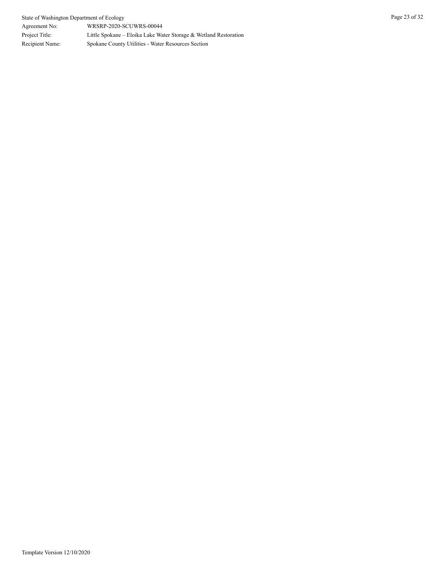### State of Washington Department of Ecology Page 23 of 32

| Agreement No:   | WRSRP-2020-SCUWRS-00044                                          |
|-----------------|------------------------------------------------------------------|
| Project Title:  | Little Spokane – Eloika Lake Water Storage & Wetland Restoration |
| Recipient Name: | Spokane County Utilities - Water Resources Section               |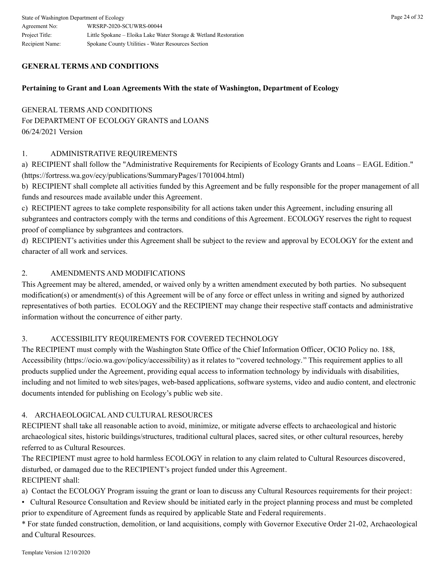## **GENERAL TERMS AND CONDITIONS**

### **Pertaining to Grant and Loan Agreements With the state of Washington, Department of Ecology**

GENERAL TERMS AND CONDITIONS For DEPARTMENT OF ECOLOGY GRANTS and LOANS 06/24/2021 Version

### 1. ADMINISTRATIVE REQUIREMENTS

a) RECIPIENT shall follow the "Administrative Requirements for Recipients of Ecology Grants and Loans – EAGL Edition." (https://fortress.wa.gov/ecy/publications/SummaryPages/1701004.html)

b) RECIPIENT shall complete all activities funded by this Agreement and be fully responsible for the proper management of all funds and resources made available under this Agreement.

c) RECIPIENT agrees to take complete responsibility for all actions taken under this Agreement, including ensuring all subgrantees and contractors comply with the terms and conditions of this Agreement. ECOLOGY reserves the right to request proof of compliance by subgrantees and contractors.

d) RECIPIENT's activities under this Agreement shall be subject to the review and approval by ECOLOGY for the extent and character of all work and services.

### 2. AMENDMENTS AND MODIFICATIONS

This Agreement may be altered, amended, or waived only by a written amendment executed by both parties. No subsequent modification(s) or amendment(s) of this Agreement will be of any force or effect unless in writing and signed by authorized representatives of both parties. ECOLOGY and the RECIPIENT may change their respective staff contacts and administrative information without the concurrence of either party.

## 3. ACCESSIBILITY REQUIREMENTS FOR COVERED TECHNOLOGY

The RECIPIENT must comply with the Washington State Office of the Chief Information Officer, OCIO Policy no. 188, Accessibility (https://ocio.wa.gov/policy/accessibility) as it relates to "covered technology." This requirement applies to all products supplied under the Agreement, providing equal access to information technology by individuals with disabilities, including and not limited to web sites/pages, web-based applications, software systems, video and audio content, and electronic documents intended for publishing on Ecology's public web site.

## 4. ARCHAEOLOGICAL AND CULTURAL RESOURCES

RECIPIENT shall take all reasonable action to avoid, minimize, or mitigate adverse effects to archaeological and historic archaeological sites, historic buildings/structures, traditional cultural places, sacred sites, or other cultural resources, hereby referred to as Cultural Resources.

The RECIPIENT must agree to hold harmless ECOLOGY in relation to any claim related to Cultural Resources discovered, disturbed, or damaged due to the RECIPIENT's project funded under this Agreement. RECIPIENT shall:

a) Contact the ECOLOGY Program issuing the grant or loan to discuss any Cultural Resources requirements for their project: • Cultural Resource Consultation and Review should be initiated early in the project planning process and must be completed prior to expenditure of Agreement funds as required by applicable State and Federal requirements.

\* For state funded construction, demolition, or land acquisitions, comply with Governor Executive Order 21-02, Archaeological and Cultural Resources.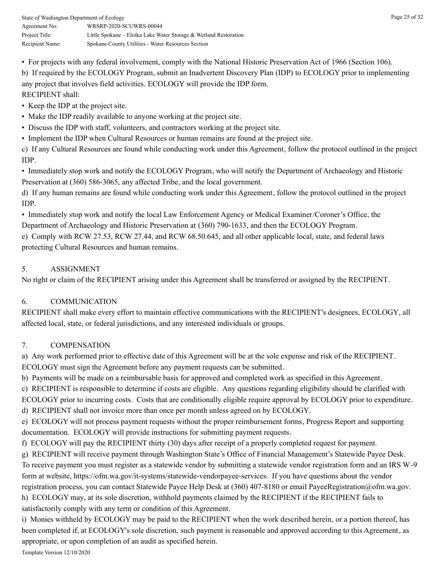• For projects with any federal involvement, comply with the National Historic Preservation Act of 1966 (Section 106).

b) If required by the ECOLOGY Program, submit an Inadvertent Discovery Plan (IDP) to ECOLOGY prior to implementing any project that involves field activities. ECOLOGY will provide the IDP form. RECIPIENT shall:

• Keep the IDP at the project site.

• Make the IDP readily available to anyone working at the project site.

• Discuss the IDP with staff, volunteers, and contractors working at the project site.

• Implement the IDP when Cultural Resources or human remains are found at the project site.

c) If any Cultural Resources are found while conducting work under this Agreement, follow the protocol outlined in the project IDP.

• Immediately stop work and notify the ECOLOGY Program, who will notify the Department of Archaeology and Historic Preservation at (360) 586-3065, any affected Tribe, and the local government.

d) If any human remains are found while conducting work under this Agreement, follow the protocol outlined in the project IDP.

• Immediately stop work and notify the local Law Enforcement Agency or Medical Examiner/Coroner's Office, the Department of Archaeology and Historic Preservation at (360) 790-1633, and then the ECOLOGY Program.

e) Comply with RCW 27.53, RCW 27.44, and RCW 68.50.645, and all other applicable local, state, and federal laws protecting Cultural Resources and human remains.

## 5. ASSIGNMENT

No right or claim of the RECIPIENT arising under this Agreement shall be transferred or assigned by the RECIPIENT.

## 6. COMMUNICATION

RECIPIENT shall make every effort to maintain effective communications with the RECIPIENT's designees, ECOLOGY, all affected local, state, or federal jurisdictions, and any interested individuals or groups.

## 7. COMPENSATION

a) Any work performed prior to effective date of this Agreement will be at the sole expense and risk of the RECIPIENT. ECOLOGY must sign the Agreement before any payment requests can be submitted.

b) Payments will be made on a reimbursable basis for approved and completed work as specified in this Agreement.

c) RECIPIENT is responsible to determine if costs are eligible. Any questions regarding eligibility should be clarified with ECOLOGY prior to incurring costs. Costs that are conditionally eligible require approval by ECOLOGY prior to expenditure. d) RECIPIENT shall not invoice more than once per month unless agreed on by ECOLOGY.

e) ECOLOGY will not process payment requests without the proper reimbursement forms, Progress Report and supporting documentation. ECOLOGY will provide instructions for submitting payment requests.

f) ECOLOGY will pay the RECIPIENT thirty (30) days after receipt of a properly completed request for payment.

g) RECIPIENT will receive payment through Washington State's Office of Financial Management's Statewide Payee Desk. To receive payment you must register as a statewide vendor by submitting a statewide vendor registration form and an IRS W-9 form at website, https://ofm.wa.gov/it-systems/statewide-vendorpayee-services. If you have questions about the vendor registration process, you can contact Statewide Payee Help Desk at (360) 407-8180 or email PayeeRegistration@ofm.wa.gov. h) ECOLOGY may, at its sole discretion, withhold payments claimed by the RECIPIENT if the RECIPIENT fails to satisfactorily comply with any term or condition of this Agreement.

i) Monies withheld by ECOLOGY may be paid to the RECIPIENT when the work described herein, or a portion thereof, has been completed if, at ECOLOGY's sole discretion, such payment is reasonable and approved according to this Agreement, as appropriate, or upon completion of an audit as specified herein.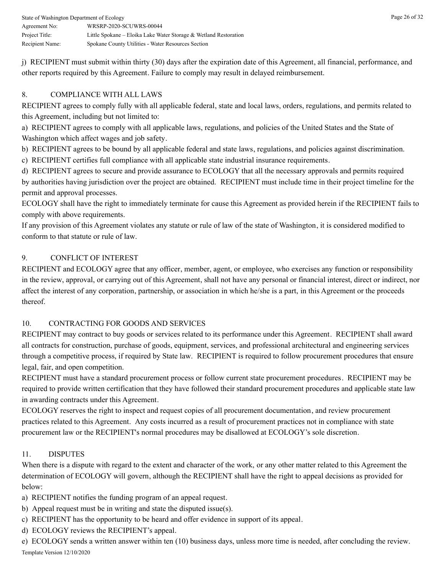j) RECIPIENT must submit within thirty (30) days after the expiration date of this Agreement, all financial, performance, and other reports required by this Agreement. Failure to comply may result in delayed reimbursement.

## 8. COMPLIANCE WITH ALL LAWS

RECIPIENT agrees to comply fully with all applicable federal, state and local laws, orders, regulations, and permits related to this Agreement, including but not limited to:

a) RECIPIENT agrees to comply with all applicable laws, regulations, and policies of the United States and the State of Washington which affect wages and job safety.

b) RECIPIENT agrees to be bound by all applicable federal and state laws, regulations, and policies against discrimination.

c) RECIPIENT certifies full compliance with all applicable state industrial insurance requirements.

d) RECIPIENT agrees to secure and provide assurance to ECOLOGY that all the necessary approvals and permits required by authorities having jurisdiction over the project are obtained. RECIPIENT must include time in their project timeline for the permit and approval processes.

ECOLOGY shall have the right to immediately terminate for cause this Agreement as provided herein if the RECIPIENT fails to comply with above requirements.

If any provision of this Agreement violates any statute or rule of law of the state of Washington, it is considered modified to conform to that statute or rule of law.

## 9. CONFLICT OF INTEREST

RECIPIENT and ECOLOGY agree that any officer, member, agent, or employee, who exercises any function or responsibility in the review, approval, or carrying out of this Agreement, shall not have any personal or financial interest, direct or indirect, nor affect the interest of any corporation, partnership, or association in which he/she is a part, in this Agreement or the proceeds thereof.

## 10. CONTRACTING FOR GOODS AND SERVICES

RECIPIENT may contract to buy goods or services related to its performance under this Agreement. RECIPIENT shall award all contracts for construction, purchase of goods, equipment, services, and professional architectural and engineering services through a competitive process, if required by State law. RECIPIENT is required to follow procurement procedures that ensure legal, fair, and open competition.

RECIPIENT must have a standard procurement process or follow current state procurement procedures. RECIPIENT may be required to provide written certification that they have followed their standard procurement procedures and applicable state law in awarding contracts under this Agreement.

ECOLOGY reserves the right to inspect and request copies of all procurement documentation, and review procurement practices related to this Agreement. Any costs incurred as a result of procurement practices not in compliance with state procurement law or the RECIPIENT's normal procedures may be disallowed at ECOLOGY's sole discretion.

## 11. DISPUTES

When there is a dispute with regard to the extent and character of the work, or any other matter related to this Agreement the determination of ECOLOGY will govern, although the RECIPIENT shall have the right to appeal decisions as provided for below:

- a) RECIPIENT notifies the funding program of an appeal request.
- b) Appeal request must be in writing and state the disputed issue(s).
- c) RECIPIENT has the opportunity to be heard and offer evidence in support of its appeal.
- d) ECOLOGY reviews the RECIPIENT's appeal.
- e) ECOLOGY sends a written answer within ten (10) business days, unless more time is needed, after concluding the review. Template Version 12/10/2020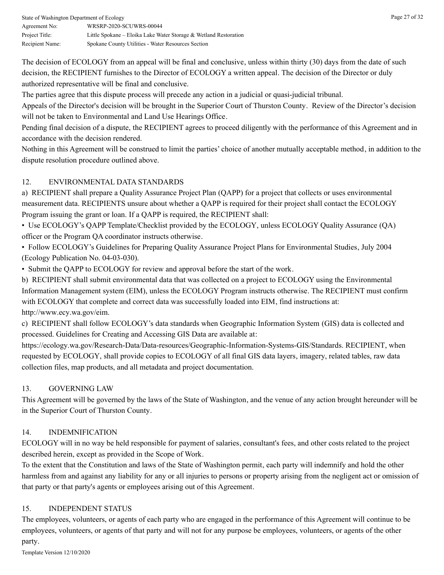The decision of ECOLOGY from an appeal will be final and conclusive, unless within thirty (30) days from the date of such decision, the RECIPIENT furnishes to the Director of ECOLOGY a written appeal. The decision of the Director or duly authorized representative will be final and conclusive.

The parties agree that this dispute process will precede any action in a judicial or quasi-judicial tribunal.

Appeals of the Director's decision will be brought in the Superior Court of Thurston County. Review of the Director's decision will not be taken to Environmental and Land Use Hearings Office.

Pending final decision of a dispute, the RECIPIENT agrees to proceed diligently with the performance of this Agreement and in accordance with the decision rendered.

Nothing in this Agreement will be construed to limit the parties' choice of another mutually acceptable method, in addition to the dispute resolution procedure outlined above.

## 12. ENVIRONMENTAL DATA STANDARDS

a) RECIPIENT shall prepare a Quality Assurance Project Plan (QAPP) for a project that collects or uses environmental measurement data. RECIPIENTS unsure about whether a QAPP is required for their project shall contact the ECOLOGY Program issuing the grant or loan. If a QAPP is required, the RECIPIENT shall:

• Use ECOLOGY's QAPP Template/Checklist provided by the ECOLOGY, unless ECOLOGY Quality Assurance (QA) officer or the Program QA coordinator instructs otherwise.

• Follow ECOLOGY's Guidelines for Preparing Quality Assurance Project Plans for Environmental Studies, July 2004 (Ecology Publication No. 04-03-030).

• Submit the QAPP to ECOLOGY for review and approval before the start of the work.

b) RECIPIENT shall submit environmental data that was collected on a project to ECOLOGY using the Environmental Information Management system (EIM), unless the ECOLOGY Program instructs otherwise. The RECIPIENT must confirm with ECOLOGY that complete and correct data was successfully loaded into EIM, find instructions at: http://www.ecy.wa.gov/eim.

c) RECIPIENT shall follow ECOLOGY's data standards when Geographic Information System (GIS) data is collected and processed. Guidelines for Creating and Accessing GIS Data are available at:

https://ecology.wa.gov/Research-Data/Data-resources/Geographic-Information-Systems-GIS/Standards. RECIPIENT, when requested by ECOLOGY, shall provide copies to ECOLOGY of all final GIS data layers, imagery, related tables, raw data collection files, map products, and all metadata and project documentation.

## 13. GOVERNING LAW

This Agreement will be governed by the laws of the State of Washington, and the venue of any action brought hereunder will be in the Superior Court of Thurston County.

## 14. INDEMNIFICATION

ECOLOGY will in no way be held responsible for payment of salaries, consultant's fees, and other costs related to the project described herein, except as provided in the Scope of Work.

To the extent that the Constitution and laws of the State of Washington permit, each party will indemnify and hold the other harmless from and against any liability for any or all injuries to persons or property arising from the negligent act or omission of that party or that party's agents or employees arising out of this Agreement.

## 15. INDEPENDENT STATUS

The employees, volunteers, or agents of each party who are engaged in the performance of this Agreement will continue to be employees, volunteers, or agents of that party and will not for any purpose be employees, volunteers, or agents of the other party.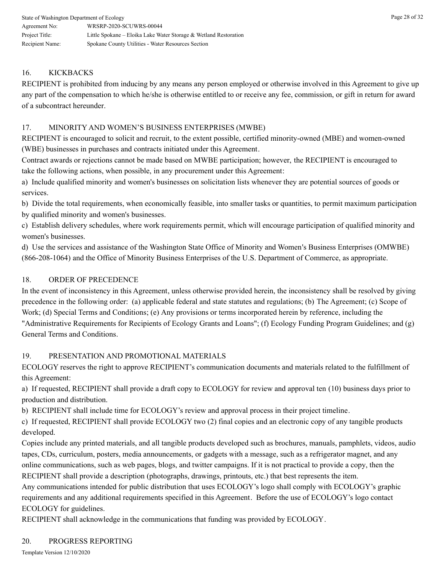State of Washington Department of Ecology Page 28 of 32 Agreement No: Project Title: Recipient Name: WRSRP-2020-SCUWRS-00044 Little Spokane – Eloika Lake Water Storage & Wetland Restoration Spokane County Utilities - Water Resources Section

### 16. KICKBACKS

RECIPIENT is prohibited from inducing by any means any person employed or otherwise involved in this Agreement to give up any part of the compensation to which he/she is otherwise entitled to or receive any fee, commission, or gift in return for award of a subcontract hereunder.

### 17. MINORITY AND WOMEN'S BUSINESS ENTERPRISES (MWBE)

RECIPIENT is encouraged to solicit and recruit, to the extent possible, certified minority-owned (MBE) and women-owned (WBE) businesses in purchases and contracts initiated under this Agreement.

Contract awards or rejections cannot be made based on MWBE participation; however, the RECIPIENT is encouraged to take the following actions, when possible, in any procurement under this Agreement:

a) Include qualified minority and women's businesses on solicitation lists whenever they are potential sources of goods or services.

b) Divide the total requirements, when economically feasible, into smaller tasks or quantities, to permit maximum participation by qualified minority and women's businesses.

c) Establish delivery schedules, where work requirements permit, which will encourage participation of qualified minority and women's businesses.

d) Use the services and assistance of the Washington State Office of Minority and Women's Business Enterprises (OMWBE) (866-208-1064) and the Office of Minority Business Enterprises of the U.S. Department of Commerce, as appropriate.

### 18. ORDER OF PRECEDENCE

In the event of inconsistency in this Agreement, unless otherwise provided herein, the inconsistency shall be resolved by giving precedence in the following order: (a) applicable federal and state statutes and regulations; (b) The Agreement; (c) Scope of Work; (d) Special Terms and Conditions; (e) Any provisions or terms incorporated herein by reference, including the "Administrative Requirements for Recipients of Ecology Grants and Loans"; (f) Ecology Funding Program Guidelines; and (g) General Terms and Conditions.

## 19. PRESENTATION AND PROMOTIONAL MATERIALS

ECOLOGY reserves the right to approve RECIPIENT's communication documents and materials related to the fulfillment of this Agreement:

a) If requested, RECIPIENT shall provide a draft copy to ECOLOGY for review and approval ten (10) business days prior to production and distribution.

b) RECIPIENT shall include time for ECOLOGY's review and approval process in their project timeline.

c) If requested, RECIPIENT shall provide ECOLOGY two (2) final copies and an electronic copy of any tangible products developed.

Copies include any printed materials, and all tangible products developed such as brochures, manuals, pamphlets, videos, audio tapes, CDs, curriculum, posters, media announcements, or gadgets with a message, such as a refrigerator magnet, and any online communications, such as web pages, blogs, and twitter campaigns. If it is not practical to provide a copy, then the RECIPIENT shall provide a description (photographs, drawings, printouts, etc.) that best represents the item.

Any communications intended for public distribution that uses ECOLOGY's logo shall comply with ECOLOGY's graphic requirements and any additional requirements specified in this Agreement. Before the use of ECOLOGY's logo contact ECOLOGY for guidelines.

RECIPIENT shall acknowledge in the communications that funding was provided by ECOLOGY.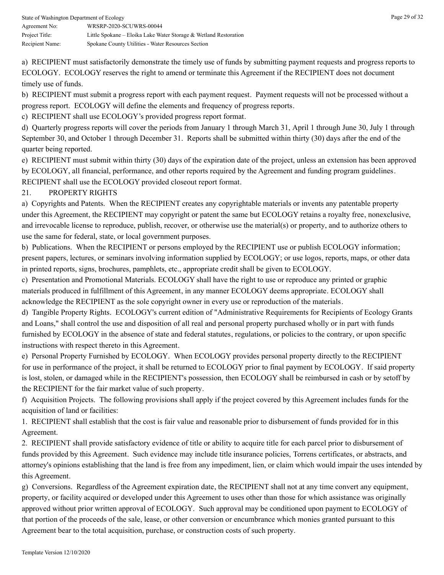a) RECIPIENT must satisfactorily demonstrate the timely use of funds by submitting payment requests and progress reports to ECOLOGY. ECOLOGY reserves the right to amend or terminate this Agreement if the RECIPIENT does not document timely use of funds.

b) RECIPIENT must submit a progress report with each payment request. Payment requests will not be processed without a progress report. ECOLOGY will define the elements and frequency of progress reports.

c) RECIPIENT shall use ECOLOGY's provided progress report format.

d) Quarterly progress reports will cover the periods from January 1 through March 31, April 1 through June 30, July 1 through September 30, and October 1 through December 31. Reports shall be submitted within thirty (30) days after the end of the quarter being reported.

e) RECIPIENT must submit within thirty (30) days of the expiration date of the project, unless an extension has been approved by ECOLOGY, all financial, performance, and other reports required by the Agreement and funding program guidelines. RECIPIENT shall use the ECOLOGY provided closeout report format.

## 21. PROPERTY RIGHTS

a) Copyrights and Patents. When the RECIPIENT creates any copyrightable materials or invents any patentable property under this Agreement, the RECIPIENT may copyright or patent the same but ECOLOGY retains a royalty free, nonexclusive, and irrevocable license to reproduce, publish, recover, or otherwise use the material(s) or property, and to authorize others to use the same for federal, state, or local government purposes.

b) Publications. When the RECIPIENT or persons employed by the RECIPIENT use or publish ECOLOGY information; present papers, lectures, or seminars involving information supplied by ECOLOGY; or use logos, reports, maps, or other data in printed reports, signs, brochures, pamphlets, etc., appropriate credit shall be given to ECOLOGY.

c) Presentation and Promotional Materials. ECOLOGY shall have the right to use or reproduce any printed or graphic materials produced in fulfillment of this Agreement, in any manner ECOLOGY deems appropriate. ECOLOGY shall acknowledge the RECIPIENT as the sole copyright owner in every use or reproduction of the materials.

d) Tangible Property Rights. ECOLOGY's current edition of "Administrative Requirements for Recipients of Ecology Grants and Loans," shall control the use and disposition of all real and personal property purchased wholly or in part with funds furnished by ECOLOGY in the absence of state and federal statutes, regulations, or policies to the contrary, or upon specific instructions with respect thereto in this Agreement.

e) Personal Property Furnished by ECOLOGY. When ECOLOGY provides personal property directly to the RECIPIENT for use in performance of the project, it shall be returned to ECOLOGY prior to final payment by ECOLOGY. If said property is lost, stolen, or damaged while in the RECIPIENT's possession, then ECOLOGY shall be reimbursed in cash or by setoff by the RECIPIENT for the fair market value of such property.

f) Acquisition Projects. The following provisions shall apply if the project covered by this Agreement includes funds for the acquisition of land or facilities:

1. RECIPIENT shall establish that the cost is fair value and reasonable prior to disbursement of funds provided for in this Agreement.

2. RECIPIENT shall provide satisfactory evidence of title or ability to acquire title for each parcel prior to disbursement of funds provided by this Agreement. Such evidence may include title insurance policies, Torrens certificates, or abstracts, and attorney's opinions establishing that the land is free from any impediment, lien, or claim which would impair the uses intended by this Agreement.

g) Conversions. Regardless of the Agreement expiration date, the RECIPIENT shall not at any time convert any equipment, property, or facility acquired or developed under this Agreement to uses other than those for which assistance was originally approved without prior written approval of ECOLOGY. Such approval may be conditioned upon payment to ECOLOGY of that portion of the proceeds of the sale, lease, or other conversion or encumbrance which monies granted pursuant to this Agreement bear to the total acquisition, purchase, or construction costs of such property.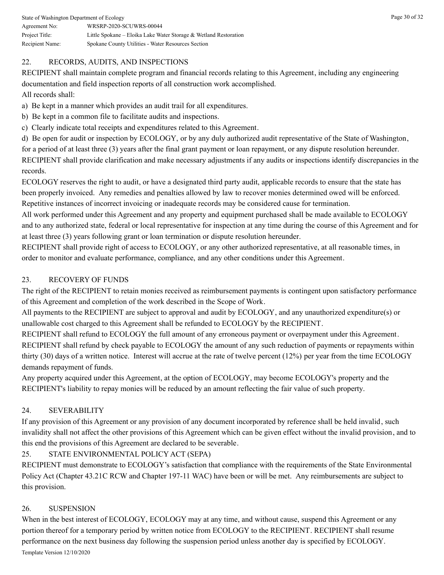State of Washington Department of Ecology Page 30 of 32 Agreement No: Project Title: Recipient Name: WRSRP-2020-SCUWRS-00044 Little Spokane – Eloika Lake Water Storage & Wetland Restoration Spokane County Utilities - Water Resources Section

## 22. RECORDS, AUDITS, AND INSPECTIONS

RECIPIENT shall maintain complete program and financial records relating to this Agreement, including any engineering documentation and field inspection reports of all construction work accomplished.

All records shall:

a) Be kept in a manner which provides an audit trail for all expenditures.

b) Be kept in a common file to facilitate audits and inspections.

c) Clearly indicate total receipts and expenditures related to this Agreement.

d) Be open for audit or inspection by ECOLOGY, or by any duly authorized audit representative of the State of Washington, for a period of at least three (3) years after the final grant payment or loan repayment, or any dispute resolution hereunder. RECIPIENT shall provide clarification and make necessary adjustments if any audits or inspections identify discrepancies in the records.

ECOLOGY reserves the right to audit, or have a designated third party audit, applicable records to ensure that the state has been properly invoiced. Any remedies and penalties allowed by law to recover monies determined owed will be enforced. Repetitive instances of incorrect invoicing or inadequate records may be considered cause for termination.

All work performed under this Agreement and any property and equipment purchased shall be made available to ECOLOGY and to any authorized state, federal or local representative for inspection at any time during the course of this Agreement and for at least three (3) years following grant or loan termination or dispute resolution hereunder.

RECIPIENT shall provide right of access to ECOLOGY, or any other authorized representative, at all reasonable times, in order to monitor and evaluate performance, compliance, and any other conditions under this Agreement.

## 23. RECOVERY OF FUNDS

The right of the RECIPIENT to retain monies received as reimbursement payments is contingent upon satisfactory performance of this Agreement and completion of the work described in the Scope of Work.

All payments to the RECIPIENT are subject to approval and audit by ECOLOGY, and any unauthorized expenditure(s) or unallowable cost charged to this Agreement shall be refunded to ECOLOGY by the RECIPIENT.

RECIPIENT shall refund to ECOLOGY the full amount of any erroneous payment or overpayment under this Agreement. RECIPIENT shall refund by check payable to ECOLOGY the amount of any such reduction of payments or repayments within thirty (30) days of a written notice. Interest will accrue at the rate of twelve percent (12%) per year from the time ECOLOGY demands repayment of funds.

Any property acquired under this Agreement, at the option of ECOLOGY, may become ECOLOGY's property and the RECIPIENT's liability to repay monies will be reduced by an amount reflecting the fair value of such property.

## 24. SEVERABILITY

If any provision of this Agreement or any provision of any document incorporated by reference shall be held invalid, such invalidity shall not affect the other provisions of this Agreement which can be given effect without the invalid provision, and to this end the provisions of this Agreement are declared to be severable.

## 25. STATE ENVIRONMENTAL POLICY ACT (SEPA)

RECIPIENT must demonstrate to ECOLOGY's satisfaction that compliance with the requirements of the State Environmental Policy Act (Chapter 43.21C RCW and Chapter 197-11 WAC) have been or will be met. Any reimbursements are subject to this provision.

## 26. SUSPENSION

When in the best interest of ECOLOGY, ECOLOGY may at any time, and without cause, suspend this Agreement or any portion thereof for a temporary period by written notice from ECOLOGY to the RECIPIENT. RECIPIENT shall resume performance on the next business day following the suspension period unless another day is specified by ECOLOGY. Template Version 12/10/2020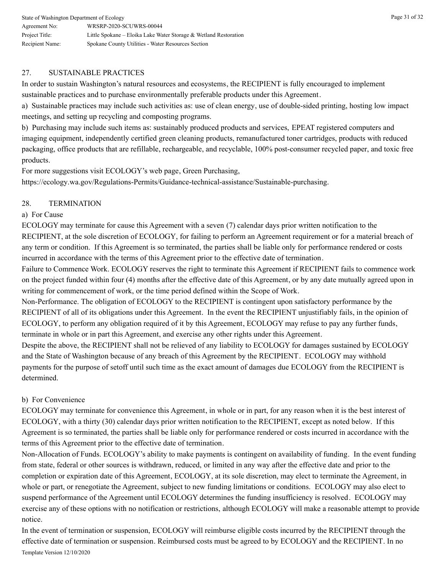State of Washington Department of Ecology Page 31 of 32 Agreement No: Project Title: Recipient Name: WRSRP-2020-SCUWRS-00044 Little Spokane – Eloika Lake Water Storage & Wetland Restoration Spokane County Utilities - Water Resources Section

### 27. SUSTAINABLE PRACTICES

In order to sustain Washington's natural resources and ecosystems, the RECIPIENT is fully encouraged to implement sustainable practices and to purchase environmentally preferable products under this Agreement.

a) Sustainable practices may include such activities as: use of clean energy, use of double-sided printing, hosting low impact meetings, and setting up recycling and composting programs.

b) Purchasing may include such items as: sustainably produced products and services, EPEAT registered computers and imaging equipment, independently certified green cleaning products, remanufactured toner cartridges, products with reduced packaging, office products that are refillable, rechargeable, and recyclable, 100% post-consumer recycled paper, and toxic free products.

For more suggestions visit ECOLOGY's web page, Green Purchasing, https://ecology.wa.gov/Regulations-Permits/Guidance-technical-assistance/Sustainable-purchasing.

### 28. TERMINATION

### a) For Cause

ECOLOGY may terminate for cause this Agreement with a seven (7) calendar days prior written notification to the RECIPIENT, at the sole discretion of ECOLOGY, for failing to perform an Agreement requirement or for a material breach of any term or condition. If this Agreement is so terminated, the parties shall be liable only for performance rendered or costs incurred in accordance with the terms of this Agreement prior to the effective date of termination.

Failure to Commence Work. ECOLOGY reserves the right to terminate this Agreement if RECIPIENT fails to commence work on the project funded within four (4) months after the effective date of this Agreement, or by any date mutually agreed upon in writing for commencement of work, or the time period defined within the Scope of Work.

Non-Performance. The obligation of ECOLOGY to the RECIPIENT is contingent upon satisfactory performance by the RECIPIENT of all of its obligations under this Agreement. In the event the RECIPIENT unjustifiably fails, in the opinion of ECOLOGY, to perform any obligation required of it by this Agreement, ECOLOGY may refuse to pay any further funds, terminate in whole or in part this Agreement, and exercise any other rights under this Agreement.

Despite the above, the RECIPIENT shall not be relieved of any liability to ECOLOGY for damages sustained by ECOLOGY and the State of Washington because of any breach of this Agreement by the RECIPIENT. ECOLOGY may withhold payments for the purpose of setoff until such time as the exact amount of damages due ECOLOGY from the RECIPIENT is determined.

### b) For Convenience

ECOLOGY may terminate for convenience this Agreement, in whole or in part, for any reason when it is the best interest of ECOLOGY, with a thirty (30) calendar days prior written notification to the RECIPIENT, except as noted below. If this Agreement is so terminated, the parties shall be liable only for performance rendered or costs incurred in accordance with the terms of this Agreement prior to the effective date of termination.

Non-Allocation of Funds. ECOLOGY's ability to make payments is contingent on availability of funding. In the event funding from state, federal or other sources is withdrawn, reduced, or limited in any way after the effective date and prior to the completion or expiration date of this Agreement, ECOLOGY, at its sole discretion, may elect to terminate the Agreement, in whole or part, or renegotiate the Agreement, subject to new funding limitations or conditions. ECOLOGY may also elect to suspend performance of the Agreement until ECOLOGY determines the funding insufficiency is resolved. ECOLOGY may exercise any of these options with no notification or restrictions, although ECOLOGY will make a reasonable attempt to provide notice.

In the event of termination or suspension, ECOLOGY will reimburse eligible costs incurred by the RECIPIENT through the effective date of termination or suspension. Reimbursed costs must be agreed to by ECOLOGY and the RECIPIENT. In no Template Version 12/10/2020